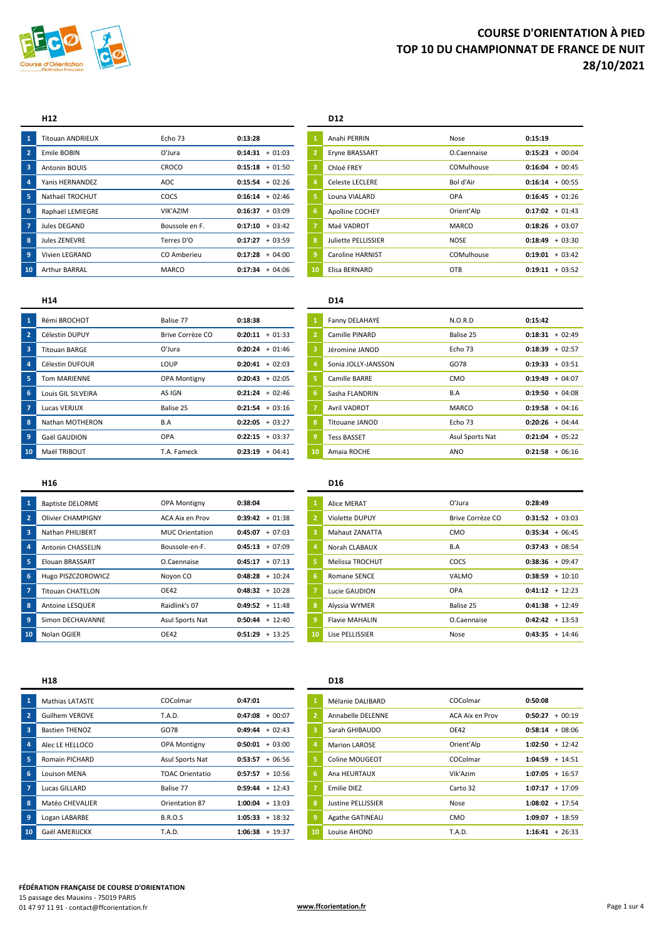

#### **H12 D12**

|     | <b>Titouan ANDRIEUX</b> | Echo 73        | 0:13:28           |    | Anahi PERRIN            | Nose        | 0:15:19           |          |
|-----|-------------------------|----------------|-------------------|----|-------------------------|-------------|-------------------|----------|
|     | Emile BOBIN             | O'Jura         | $0:14:31 + 01:03$ |    | Eryne BRASSART          | O.Caennaise | 0:15:23           | $+00:04$ |
| 3   | Antonin BOUIS           | CROCO          | $0:15:18 + 01:50$ |    | Chloé FREY              | COMulhouse  | 0:16:04           | $+00:45$ |
|     | Yanis HERNANDEZ         | AOC            | $0:15:54 + 02:26$ | 4  | <b>Celeste LECLERE</b>  | Bol d'Air   | $0:16:14 + 00:55$ |          |
|     | Nathaël TROCHUT         | COCS           | $0:16:14 + 02:46$ |    | Louna VIALARD           | <b>OPA</b>  | $0:16:45 + 01:26$ |          |
| ۲6. | Raphaël LEMIEGRE        | VIK'AZIM       | $0:16:37 + 03:09$ | 6  | <b>Apolline COCHEY</b>  | Orient'Alp  | $0:17:02 + 01:43$ |          |
|     | Jules DEGAND            | Boussole en F. | $0:17:10 + 03:42$ |    | Maé VADROT              | MARCO       | 0:18:26           | $+03:07$ |
| -8  | Jules ZENEVRE           | Terres D'O     | $0:17:27 + 03:59$ | -8 | Juliette PELLISSIER     | <b>NOSE</b> | 0:18:49           | $+03:30$ |
| -9  | Vivien LEGRAND          | CO Amberieu    | $0:17:28 + 04:00$ | 9  | <b>Caroline HARNIST</b> | COMulhouse  | 0:19:01           | $+03:42$ |
| 10  | <b>Arthur BARRAL</b>    | <b>MARCO</b>   | $0:17:34 + 04:06$ | 10 | Elisa BERNARD           | OTB         | 0:19:11           | $+03:52$ |

|    | Anahi PERRIN            | Nose         | 0:15:19           |                   |
|----|-------------------------|--------------|-------------------|-------------------|
| 2  | Eryne BRASSART          | O.Caennaise  | 0:15:23           | $+00:04$          |
| 3  | Chloé FREY              | COMulhouse   | 0:16:04           | $+00:45$          |
| ı. | Celeste LECLERE         | Bol d'Air    |                   | $0:16:14 + 00:55$ |
| š. | Louna VIALARD           | OPA          |                   | $0:16:45 + 01:26$ |
| s. | <b>Apolline COCHEY</b>  | Orient'Alp   | $0:17:02 + 01:43$ |                   |
| 7  | Maé VADROT              | <b>MARCO</b> | $0:18:26 + 03:07$ |                   |
| ŝ. | Juliette PELLISSIER     | <b>NOSE</b>  | 0:18:49           | $+03:30$          |
| €  | <b>Caroline HARNIST</b> | COMulhouse   | 0:19:01           | $+03:42$          |
| O  | Elisa BERNARD           | OTB          | 0:19:11           | $+03:52$          |

#### **H14 D14**

| -1                      | Rémi BROCHOT         | Balise 77        | 0:18:38             |    | Fanny DELAHAYE      | N.O.R.D         | 0:15:42             |
|-------------------------|----------------------|------------------|---------------------|----|---------------------|-----------------|---------------------|
| $\overline{2}$          | Célestin DUPUY       | Brive Corrèze CO | $0:20:11 + 01:33$   |    | Camille PINARD      | Balise 25       | $+02:49$<br>0:18:31 |
| $\overline{\mathbf{3}}$ | <b>Titouan BARGE</b> | O'Jura           | $0:20:24 + 01:46$   |    | Jéromine JANOD      | Echo 73         | $0:18:39 + 02:57$   |
| 4                       | Célestin DUFOUR      | LOUP             | $0:20:41 + 02:03$   |    | Sonia JOLLY-JANSSON | GO78            | $+03:51$<br>0:19:33 |
| 5                       | Tom MARIENNE         | OPA Montigny     | $0:20:43 + 02:05$   |    | Camille BARRE       | <b>CMO</b>      | $+04:07$<br>0:19:49 |
| 6                       | Louis GIL SILVEIRA   | AS IGN           | $0:21:24 + 02:46$   | 6  | Sasha FLANDRIN      | B.A             | $+04:08$<br>0:19:50 |
|                         | Lucas VERJUX         | Balise 25        | $0:21:54 + 03:16$   |    | <b>Avril VADROT</b> | MARCO           | $+04:16$<br>0:19:58 |
| 8                       | Nathan MOTHERON      | B.A              | $0:22:05 + 03:27$   | 8  | Titouane JANOD      | Echo 73         | $+04:44$<br>0:20:26 |
| 9                       | Gaël GAUDION         | OPA              | $0:22:15 + 03:37$   | 9  | <b>Tess BASSET</b>  | Asul Sports Nat | $+05:22$<br>0:21:04 |
| 10                      | Maël TRIBOUT         | T.A. Fameck      | 0:23:19<br>$+04:41$ | 10 | Amaia ROCHE         | ANO             | $+06:16$<br>0:21:58 |

# **Fanny DELAHAYE 1 1 1 1 115:42**  Sonia JOLLY-JANSSON **6078 0:19:33** + 03:51 Sasha FLANDRIN **19:30 19:50** + 04:08

#### **H16 D16**

| 1              | <b>Baptiste DELORME</b>  | <b>OPA Montigny</b>    | 0:38:04           |    | Alice MERAT           | O'Jura           | 0:28:49              |
|----------------|--------------------------|------------------------|-------------------|----|-----------------------|------------------|----------------------|
| $2^{\circ}$    | Olivier CHAMPIGNY        | ACA Aix en Prov        | $0:39:42 + 01:38$ |    | Violette DUPUY        | Brive Corrèze CO | $+03:03$<br>0:31:52  |
| 3              | Nathan PHILIBERT         | <b>MUC Orientation</b> | $0:45:07 + 07:03$ |    | <b>Mahaut ZANATTA</b> | <b>CMO</b>       | $+06:45$<br>0:35:34  |
| 4              | <b>Antonin CHASSELIN</b> | Boussole-en-F.         | $0:45:13 + 07:09$ |    | Norah CLABAUX         | B.A              | $+08:54$<br>0:37:43  |
| 5              | Elouan BRASSART          | O.Caennaise            | $0:45:17 + 07:13$ |    | Melissa TROCHUT       | COCS             | $+09:47$<br>0:38:36  |
| 6              | Hugo PISZCZOROWICZ       | Noyon CO               | $0:48:28 + 10:24$ | 6  | <b>Romane SENCE</b>   | VALMO            | $+10:10$<br>0:38:59  |
| $\overline{7}$ | <b>Titouan CHATELON</b>  | <b>OE42</b>            | $0:48:32 + 10:28$ |    | Lucie GAUDION         | <b>OPA</b>       | $+ 12:23$<br>0:41:12 |
| 8              | Antoine LESQUER          | Raidlink's 07          | $0:49:52 + 11:48$ |    | Alyssia WYMER         | Balise 25        | $+ 12:49$<br>0:41:38 |
| 9              | Simon DECHAVANNE         | Asul Sports Nat        | $0:50:44 + 12:40$ |    | <b>Flavie MAHALIN</b> | O.Caennaise      | $0:42:42 + 13:53$    |
| 10             | Nolan OGIER              | <b>OE42</b>            | $0:51:29 + 13:25$ | 10 | Lise PELLISSIER       | Nose             | $+ 14:46$<br>0:43:35 |

| $\mathbf{1}$   | Alice MERAT            | O'Jura           | 0:28:49              |
|----------------|------------------------|------------------|----------------------|
| $\overline{2}$ | Violette DUPUY         | Brive Corrèze CO | $+03:03$<br>0:31:52  |
| 3              | Mahaut ZANATTA         | CMO              | 0:35:34<br>$+06:45$  |
| $\overline{4}$ | Norah CLABAUX          | B.A              | $+08:54$<br>0:37:43  |
| 5              | <b>Melissa TROCHUT</b> | <b>COCS</b>      | 0:38:36<br>$+09:47$  |
| 6              | Romane SENCE           | VALMO            | 0:38:59<br>$+10:10$  |
| $\overline{7}$ | Lucie GAUDION          | OPA              | $0:41:12 + 12:23$    |
| 8              | Alyssia WYMER          | Balise 25        | $0:41:38 + 12:49$    |
| 9              | <b>Flavie MAHALIN</b>  | O.Caennaise      | 0:42:42<br>$+ 13:53$ |
| 10             | Lise PELLISSIER        | Nose             | 0:43:35<br>$+ 14:46$ |

### **H18 D18**

|    | <b>Mathias LATASTE</b> | COColmar               | 0:47:01             |    | Mélanie DALIBARD     | COColmar        | 0:50:08              |
|----|------------------------|------------------------|---------------------|----|----------------------|-----------------|----------------------|
|    | <b>Guilhem VEROVE</b>  | <b>T.A.D.</b>          | $0:47:08 + 00:07$   |    | Annabelle DELENNE    | ACA Aix en Prov | $+00:19$<br>0:50:27  |
| 3  | <b>Bastien THENOZ</b>  | GO78                   | $+02:43$<br>0:49:44 |    | Sarah GHIBAUDO       | OE42            | $+08:06$<br>0:58:14  |
|    | Alec LE HELLOCO        | OPA Montigny           | $+03:00$<br>0:50:01 |    | <b>Marion LAROSE</b> | Orient'Alp      | $+ 12:42$<br>1:02:50 |
|    | Romain PICHARD         | Asul Sports Nat        | $0:53:57 + 06:56$   | 5  | Coline MOUGEOT       | COColmar        | $+ 14:51$<br>1:04:59 |
| 6  | Louison MENA           | <b>TOAC Orientatio</b> | $0:57:57 + 10:56$   | 6  | Ana HEURTAUX         | Vik'Azim        | $+ 16:57$<br>1:07:05 |
|    | Lucas GILLARD          | Balise 77              | $0:59:44 + 12:43$   |    | Emilie DIEZ          | Carto 32        | $+ 17:09$<br>1:07:17 |
| -8 | Matéo CHEVALIER        | Orientation 87         | $1:00:04 + 13:03$   | 8  | Justine PELLISSIER   | Nose            | $+ 17:54$<br>1:08:02 |
|    | Logan LABARBE          | <b>B.R.O.S</b>         | $1:05:33 + 18:32$   |    | Agathe GATINEAU      | <b>CMO</b>      | $+ 18:59$<br>1:09:07 |
| 10 | Gaël AMERIJCKX         | <b>T.A.D.</b>          | $1:06:38 + 19:37$   | 10 | Louise AHOND         | T.A.D.          | $1:16:41 + 26:33$    |

| $\mathbf{1}$   | Mélanie DALIBARD     | COColmar        | 0:50:08             |
|----------------|----------------------|-----------------|---------------------|
| $\overline{2}$ | Annabelle DELENNE    | ACA Aix en Prov | 0:50:27<br>$+00:19$ |
| 3              | Sarah GHIBAUDO       | OE42            | $+08:06$<br>0:58:14 |
| $\overline{4}$ | <b>Marion LAROSE</b> | Orient'Alp      | $1:02:50 + 12:42$   |
| 5              | Coline MOUGEOT       | COColmar        | $1:04:59 + 14:51$   |
| 6              | Ana HEURTAUX         | Vik'Azim        | $1:07:05 + 16:57$   |
| $\overline{7}$ | Emilie DIEZ          | Carto 32        | $1:07:17 + 17:09$   |
| 8              | Justine PELLISSIER   | Nose            | $1:08:02 + 17:54$   |
| 9              | Agathe GATINEAU      | <b>CMO</b>      | 1:09:07<br>$+18:59$ |
| 10             | Louise AHOND         | <b>T.A.D.</b>   | 1:16:41<br>$+26:33$ |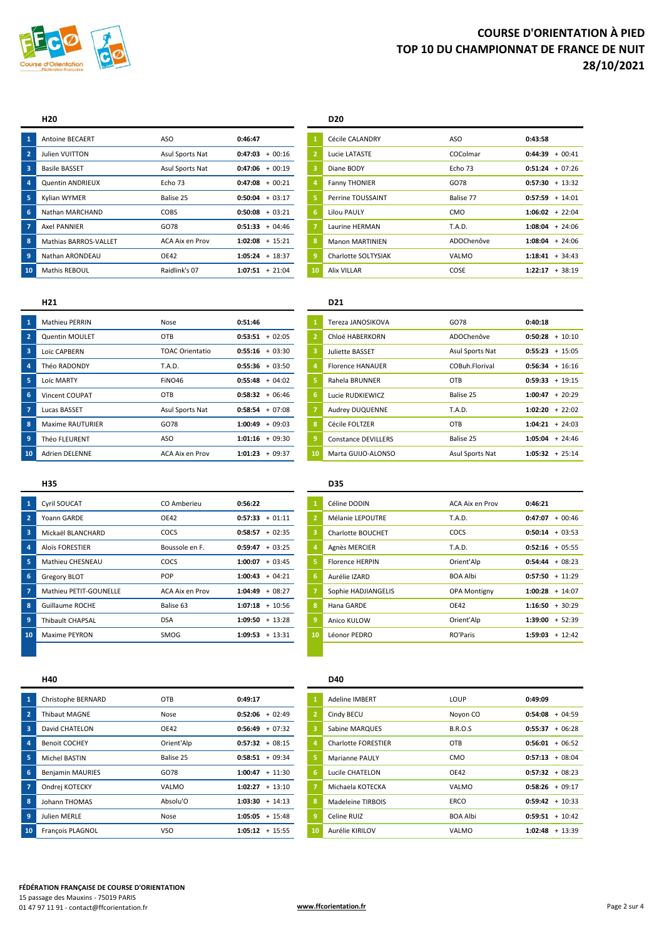

#### **H20 D20**

|    | <b>Antoine BECAERT</b> | ASO             | 0:46:47           |    | Cécile CALANDRY        | ASO           | 0:43:58              |
|----|------------------------|-----------------|-------------------|----|------------------------|---------------|----------------------|
|    | Julien VUITTON         | Asul Sports Nat | $0:47:03 + 00:16$ |    | Lucie LATASTE          | COColmar      | $+00:41$<br>0:44:39  |
| 3  | <b>Basile BASSET</b>   | Asul Sports Nat | $0:47:06 + 00:19$ |    | Diane BODY             | Echo 73       | $+07:26$<br>0:51:24  |
|    | Quentin ANDRIEUX       | Echo 73         | $0:47:08 + 00:21$ |    | <b>Fanny THONIER</b>   | GO78          | $+13:32$<br>0:57:30  |
|    | Kylian WYMER           | Balise 25       | $0:50:04 + 03:17$ | -5 | Perrine TOUSSAINT      | Balise 77     | $+ 14:01$<br>0:57:59 |
|    | Nathan MARCHAND        | COBS            | $0:50:08 + 03:21$ | -6 | <b>Lilou PAULY</b>     | <b>CMO</b>    | $+22:04$<br>1:06:02  |
|    | <b>Axel PANNIER</b>    | GO78            | $0:51:33 + 04:46$ |    | Laurine HERMAN         | <b>T.A.D.</b> | $+24:06$<br>1:08:04  |
| 8  | Mathias BARROS-VALLET  | ACA Aix en Prov | $1:02:08 + 15:21$ | -8 | <b>Manon MARTINIEN</b> | ADOChenôve    | $+24:06$<br>1:08:04  |
|    | Nathan ARONDEAU        | OE42            | $1:05:24 + 18:37$ | -9 | Charlotte SOLTYSIAK    | VALMO         | $+34:43$<br>1:18:41  |
| 10 | Mathis REBOUL          | Raidlink's 07   | $1:07:51 + 21:04$ | 10 | <b>Alix VILLAR</b>     | COSE          | $+38:19$<br>1:22:17  |

## Antoine BECAERT ASO **0:46:47 1** Cécile CALANDRY ASO **0:43:58 Perrine TOUSSAINT Balise 77 0:57:59** + 14:01 Nathan MARCHAND COBS **0:50:08** + 03:21 **6** Lilou PAULY CMO **1:06:02** + 22:04 Charlotte SOLTYSIAK VALMO **1:18:41** + 34:43

|                         | H <sub>21</sub>         |                        |                           | D <sub>21</sub>            |                 |                      |
|-------------------------|-------------------------|------------------------|---------------------------|----------------------------|-----------------|----------------------|
| $\mathbf{1}$            | <b>Mathieu PERRIN</b>   | Nose                   | 0:51:46                   | Tereza JANOSIKOVA          | GO78            | 0:40:18              |
| $\overline{2}$          | <b>Quentin MOULET</b>   | OTB                    | $0:53:51 + 02:05$         | Chloé HABERKORN            | ADOChenôve      | $+10:10$<br>0:50:28  |
| $\overline{\mathbf{3}}$ | Loïc CAPBERN            | <b>TOAC Orientatio</b> | $0:55:16 + 03:30$         | Juliette BASSET            | Asul Sports Nat | $+ 15:05$<br>0:55:23 |
| $\overline{4}$          | Théo RADONDY            | T.A.D.                 | $0:55:36 + 03:50$         | <b>Florence HANAUER</b>    | COBuh.Florival  | $+16:16$<br>0:56:34  |
| 5                       | Loïc MARTY              | FINO46                 | $0:55:48 + 04:02$         | Rahela BRUNNER             | <b>OTB</b>      | $+ 19:15$<br>0:59:33 |
| 6                       | Vincent COUPAT          | OTB                    | $0:58:32 + 06:46$         | Lucie RUDKIEWICZ           | Balise 25       | $+20:29$<br>1:00:47  |
| 7                       | Lucas BASSET            | Asul Sports Nat        | $0:58:54 + 07:08$         | Audrey DUQUENNE            | <b>T.A.D.</b>   | $+22:02$<br>1:02:20  |
| 8                       | <b>Maxime RAUTURIER</b> | GO78                   | $+09:03$<br>1:00:49       | Cécile FOLTZER             | <b>OTB</b>      | $+24:03$<br>1:04:21  |
| 9                       | Théo FLEURENT           | ASO                    | $1:01:16 + 09:30$<br>9    | <b>Constance DEVILLERS</b> | Balise 25       | $+24:46$<br>1:05:04  |
| 10                      | <b>Adrien DELENNE</b>   | ACA Aix en Prov        | 1:01:23<br>$+09:37$<br>10 | Marta GUIJO-ALONSO         | Asul Sports Nat | $+25:14$<br>1:05:32  |

| $\mathbf{1}$   | Tereza JANOSIKOVA          | GO78            | 0:40:18             |
|----------------|----------------------------|-----------------|---------------------|
| $\overline{2}$ | Chloé HABERKORN            | ADOChenôve      | 0:50:28<br>$+10:10$ |
| 3              | Juliette BASSET            | Asul Sports Nat | $0:55:23 + 15:05$   |
| 4              | <b>Florence HANAUER</b>    | COBuh Florival  | $0:56:34 + 16:16$   |
| 5              | Rahela BRUNNER             | OTB             | $0:59:33 + 19:15$   |
| 6              | Lucie RUDKIEWICZ           | Balise 25       | 1:00:47<br>$+20:29$ |
| $\overline{7}$ | Audrey DUQUENNE            | T.A.D.          | 1:02:20<br>$+22:02$ |
| 8              | Cécile FOLTZER             | OTB             | $1:04:21 + 24:03$   |
| 9              | <b>Constance DEVILLERS</b> | Balise 25       | 1:05:04<br>$+24:46$ |
| 10             | Marta GUIJO-ALONSO         | Asul Sports Nat | 1:05:32<br>$+25:14$ |

| 1                       | <b>Cyril SOUCAT</b>     | CO Amberieu     | 0:56:22           |    | Céline DODIN        | ACA Aix en Prov     | 0:46:21              |
|-------------------------|-------------------------|-----------------|-------------------|----|---------------------|---------------------|----------------------|
| $\overline{2}$          | Yoann GARDE             | OE42            | $0:57:33 + 01:11$ |    | Mélanie LEPOUTRE    | T.A.D.              | $+00:46$<br>0:47:07  |
| $\overline{\mathbf{3}}$ | Mickaël BLANCHARD       | COCS            | $0:58:57 + 02:35$ |    | Charlotte BOUCHET   | COCS                | $+03:53$<br>0:50:14  |
| $\overline{a}$          | <b>Aloïs FORESTIER</b>  | Boussole en F.  | $0:59:47 + 03:25$ |    | Agnès MERCIER       | T.A.D.              | $+05:55$<br>0:52:16  |
| 5                       | Mathieu CHESNEAU        | COCS            | $1:00:07 + 03:45$ |    | Florence HERPIN     | Orient'Alp          | $+08:23$<br>0:54:44  |
| 6                       | <b>Gregory BLOT</b>     | POP             | $1:00:43 + 04:21$ | 6  | Aurélie IZARD       | <b>BOA Albi</b>     | $+ 11:29$<br>0:57:50 |
|                         | Mathieu PETIT-GOUNELLE  | ACA Aix en Prov | $1:04:49 + 08:27$ |    | Sophie HADJIANGELIS | <b>OPA Montigny</b> | $+ 14:07$<br>1:00:28 |
| 8                       | Guillaume ROCHE         | Balise 63       | $1:07:18 + 10:56$ | 8  | Hana GARDE          | OE42                | $+30:29$<br>1:16:50  |
| 9                       | <b>Thibault CHAPSAL</b> | <b>DSA</b>      | $1:09:50 + 13:28$ | -9 | Anico KULOW         | Orient'Alp          | $+ 52:39$<br>1:39:00 |
| 10                      | Maxime PEYRON           | SMOG            | $1:09:53 + 13:31$ | 10 | Léonor PEDRO        | RO'Paris            | $+ 12:42$<br>1:59:03 |

## **H35 D35**

| $\mathbf{1}$   | Céline DODIN           | ACA Aix en Prov     | 0:46:21              |
|----------------|------------------------|---------------------|----------------------|
| $\overline{2}$ | Mélanie LEPOUTRE       | T.A.D.              | $+00:46$<br>0:47:07  |
| 3              | Charlotte BOUCHET      | COCS                | 0:50:14<br>$+03:53$  |
| 4              | Agnès MERCIER          | T.A.D.              | 0:52:16<br>$+05:55$  |
| 5              | <b>Florence HERPIN</b> | Orient'Alp          | $+08:23$<br>0:54:44  |
| 6              | Aurélie IZARD          | <b>BOA Albi</b>     | 0:57:50<br>$+11:29$  |
| $\overline{7}$ | Sophie HADJIANGELIS    | <b>OPA Montigny</b> | 1:00:28<br>$+ 14:07$ |
| 8              | Hana GARDE             | OE42                | $+30:29$<br>1:16:50  |
| 9              | Anico KULOW            | Orient'Alp          | 1:39:00<br>$+ 52:39$ |
| 10             | Léonor PEDRO           | RO'Paris            | 1:59:03<br>$+12:42$  |

| 1                       | Christophe BERNARD      | OTB         | 0:49:17           |    | Adeline IMBERT             | LOUP            | 0:49:09              |
|-------------------------|-------------------------|-------------|-------------------|----|----------------------------|-----------------|----------------------|
| $\overline{2}$          | <b>Thibaut MAGNE</b>    | Nose        | $0:52:06 + 02:49$ |    | Cindy BECU                 | Noyon CO        | $+04:59$<br>0:54:08  |
| $\overline{\mathbf{3}}$ | David CHATELON          | <b>OE42</b> | $0:56:49 + 07:32$ |    | Sabine MARQUES             | <b>B.R.O.S</b>  | $+06:28$<br>0:55:37  |
| $\overline{a}$          | <b>Benoit COCHEY</b>    | Orient'Alp  | $0:57:32 + 08:15$ |    | <b>Charlotte FORESTIER</b> | OTB             | $+06:52$<br>0:56:01  |
| 5                       | Michel BASTIN           | Balise 25   | $0:58:51 + 09:34$ |    | <b>Marianne PAULY</b>      | CMO             | $+08:04$<br>0:57:13  |
| 6                       | <b>Benjamin MAURIES</b> | GO78        | $1:00:47 + 11:30$ | 6  | Lucile CHATELON            | <b>OE42</b>     | $+08:23$<br>0:57:32  |
|                         | Ondrei KOTECKY          | VALMO       | $1:02:27 + 13:10$ |    | Michaela KOTECKA           | VALMO           | $+09:17$<br>0:58:26  |
| 8                       | Johann THOMAS           | Absolu'O    | $1:03:30 + 14:13$ |    | Madeleine TIRBOIS          | ERCO            | $0:59:42 + 10:33$    |
| $\overline{9}$          | Julien MERLE            | Nose        | $1:05:05 + 15:48$ |    | Celine RUIZ                | <b>BOA Albi</b> | $+ 10:42$<br>0:59:51 |
| 10                      | François PLAGNOL        | <b>VSO</b>  | $1:05:12 + 15:55$ | 10 | Aurélie KIRILOV            | VALMO           | $+ 13:39$<br>1:02:48 |

### **H40 D40**

| $\mathbf{1}$   | <b>Adeline IMBERT</b> | LOUP            | 0:49:09              |
|----------------|-----------------------|-----------------|----------------------|
| $\overline{2}$ | Cindy BECU            | Noyon CO        | $+04:59$<br>0:54:08  |
| 3              | Sabine MARQUES        | <b>B.R.O.S</b>  | 0:55:37<br>$+06:28$  |
| $\overline{a}$ | Charlotte FORESTIER   | OTB             | $0:56:01 + 06:52$    |
| 5              | Marianne PAULY        | <b>CMO</b>      | $+08:04$<br>0:57:13  |
| 6              | Lucile CHATELON       | OE42            | $0:57:32 + 08:23$    |
| $\overline{7}$ | Michaela KOTECKA      | VALMO           | $0:58:26 + 09:17$    |
| 8              | Madeleine TIRBOIS     | <b>ERCO</b>     | $0:59:42 + 10:33$    |
| 9              | Celine RUIZ           | <b>BOA Albi</b> | 0:59:51<br>$+ 10:42$ |
| 10             | Aurélie KIRILOV       | VALMO           | 1:02:48<br>$+ 13:39$ |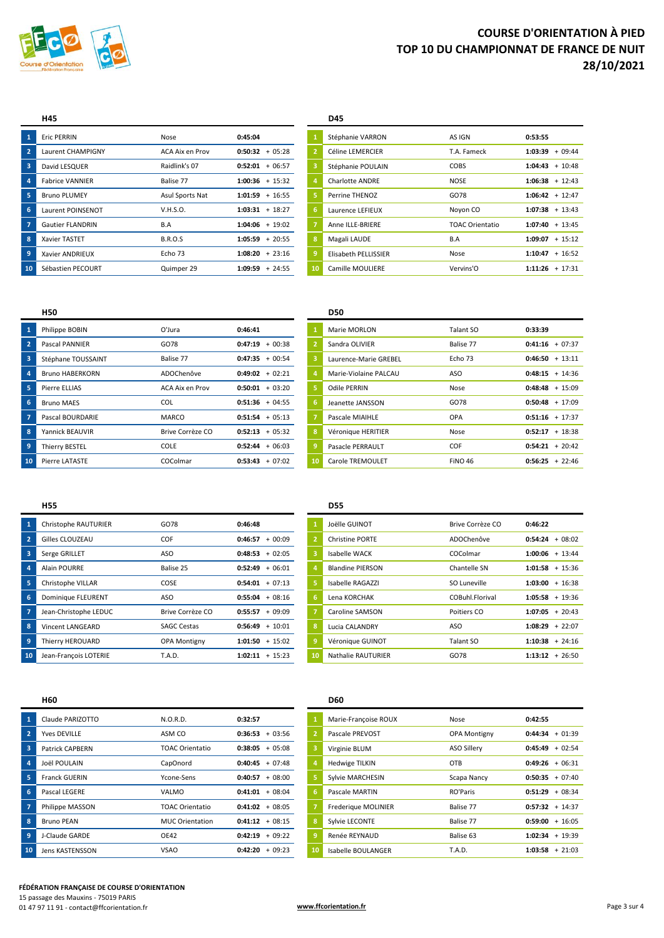

| -1             | <b>Eric PERRIN</b>      | Nose            | 0:45:04             |    | Stéphanie VARRON       | AS IGN                 | 0:53:55              |
|----------------|-------------------------|-----------------|---------------------|----|------------------------|------------------------|----------------------|
| $\overline{2}$ | Laurent CHAMPIGNY       | ACA Aix en Prov | $0:50:32 + 05:28$   |    | Céline LEMERCIER       | T.A. Fameck            | $+09:44$<br>1:03:39  |
| -3             | David LESQUER           | Raidlink's 07   | $0:52:01 + 06:57$   |    | Stéphanie POULAIN      | COBS                   | $+ 10:48$<br>1:04:43 |
| 4              | <b>Fabrice VANNIER</b>  | Balise 77       | $1:00:36 + 15:32$   |    | <b>Charlotte ANDRE</b> | <b>NOSE</b>            | $+ 12:43$<br>1:06:38 |
| 5              | <b>Bruno PLUMEY</b>     | Asul Sports Nat | $1:01:59 + 16:55$   |    | Perrine THENOZ         | GO78                   | $+ 12:47$<br>1:06:42 |
| 6              | Laurent POINSENOT       | V.H.S.O.        | $1:03:31 + 18:27$   | 6  | Laurence LEFIEUX       | Noyon CO               | $1:07:38 + 13:43$    |
| 7              | <b>Gautier FLANDRIN</b> | B.A             | $1:04:06 + 19:02$   |    | Anne ILLE-BRIERE       | <b>TOAC Orientatio</b> | $+ 13:45$<br>1:07:40 |
| 8              | Xavier TASTET           | <b>B.R.O.S</b>  | $1:05:59 + 20:55$   | 8  | Magali LAUDE           | B.A                    | $+ 15:12$<br>1:09:07 |
| 9              | Xavier ANDRIEUX         | Echo 73         | $1:08:20 + 23:16$   |    | Elisabeth PELLISSIER   | Nose                   | $+ 16:52$<br>1:10:47 |
| 10             | Sébastien PECOURT       | Quimper 29      | 1:09:59<br>$+24:55$ | 10 | Camille MOULIERE       | Vervins'O              | $1:11:26 + 17:31$    |

| H45                     |                 |                   |                | <b>D45</b>             |                        |                   |
|-------------------------|-----------------|-------------------|----------------|------------------------|------------------------|-------------------|
| <b>Eric PERRIN</b>      | Nose            | 0:45:04           |                | Stéphanie VARRON       | AS IGN                 | 0:53:55           |
| Laurent CHAMPIGNY       | ACA Aix en Prov | $0:50:32 + 05:28$ | $\overline{2}$ | Céline LEMERCIER       | T.A. Fameck            | $1:03:39 + 09:44$ |
| David LESQUER           | Raidlink's 07   | $0:52:01 + 06:57$ | з              | Stéphanie POULAIN      | COBS                   | $1:04:43 + 10:48$ |
| <b>Fabrice VANNIER</b>  | Balise 77       | $1:00:36 + 15:32$ |                | <b>Charlotte ANDRE</b> | <b>NOSE</b>            | $1:06:38 + 12:43$ |
| <b>Bruno PLUMEY</b>     | Asul Sports Nat | $1:01:59 + 16:55$ |                | Perrine THENOZ         | GO78                   | $1:06:42 + 12:47$ |
| Laurent POINSENOT       | V.H.S.O.        | $1:03:31 + 18:27$ | 16.            | Laurence LEFIEUX       | Noyon CO               | $1:07:38 + 13:43$ |
| <b>Gautier FLANDRIN</b> | B.A             | $1:04:06 + 19:02$ |                | Anne ILLE-BRIERE       | <b>TOAC Orientatio</b> | $1:07:40 + 13:45$ |
| <b>Xavier TASTET</b>    | <b>B.R.O.S</b>  | $1:05:59 + 20:55$ | 8              | Magali LAUDE           | B.A                    | $1:09:07 + 15:12$ |
| Xavier ANDRIEUX         | Echo 73         | $1:08:20 + 23:16$ | 9              | Elisabeth PELLISSIER   | Nose                   | $1:10:47 + 16:52$ |
| Sébastien PECOURT       | Quimper 29      | $1:09:59 + 24:55$ | 10             | Camille MOULIFRE       | Vervins'O              | $1:11:26 + 17:31$ |

|                 | <b>H50</b>             |                  |                         | <b>D50</b>            |                |                      |
|-----------------|------------------------|------------------|-------------------------|-----------------------|----------------|----------------------|
|                 | Philippe BOBIN         | O'Jura           | 0:46:41                 | Marie MORLON          | Talant SO      | 0:33:39              |
| $\overline{2}$  | Pascal PANNIER         | GO78             | 0:47:19<br>$+00:38$     | Sandra OLIVIER        | Balise 77      | $+07:37$<br>0:41:16  |
| 3               | Stéphane TOUSSAINT     | Balise 77        | $0:47:35 + 00:54$       | Laurence-Marie GREBEL | Echo 73        | $+13:11$<br>0:46:50  |
| $\overline{a}$  | <b>Bruno HABERKORN</b> | ADOChenôve       | $0:49:02 + 02:21$       | Marie-Violaine PALCAU | ASO            | $+ 14:36$<br>0:48:15 |
| 5               | Pierre ELLIAS          | ACA Aix en Prov  | $0:50:01 + 03:20$       | Odile PERRIN          | Nose           | $+ 15:09$<br>0:48:48 |
| 6               | <b>Bruno MAES</b>      | <b>COL</b>       | $0:51:36 + 04:55$<br>6  | Jeanette JANSSON      | GO78           | $+ 17:09$<br>0:50:48 |
|                 | Pascal BOURDARIE       | <b>MARCO</b>     | $0:51:54 + 05:13$       | Pascale MIAIHLE       | <b>OPA</b>     | $0:51:16 + 17:37$    |
| 8               | Yannick BEAUVIR        | Brive Corrèze CO | 8<br>$0:52:13 + 05:32$  | Véronique HERITIER    | Nose           | 0:52:17<br>$+ 18:38$ |
| 9               | Thierry BESTEL         | COLE             | $0:52:44 + 06:03$       | Pasacle PERRAULT      | COF            | $+20:42$<br>0:54:21  |
| 10 <sup>°</sup> | Pierre LATASTE         | COColmar         | $0:53:43 + 07:02$<br>10 | Carole TREMOULET      | <b>FINO 46</b> | $0:56:25 + 22:46$    |

|                | טכט                   |                |                      |
|----------------|-----------------------|----------------|----------------------|
| $\mathbf{1}$   | Marie MORLON          | Talant SO      | 0:33:39              |
| $\overline{2}$ | Sandra OLIVIER        | Balise 77      | $+07:37$<br>0:41:16  |
| 3              | Laurence-Marie GREBEL | Echo 73        | 0:46:50<br>$+13:11$  |
| 4              | Marie-Violaine PALCAU | ASO            | $0:48:15 + 14:36$    |
| 5              | Odile PERRIN          | Nose           | 0:48:48<br>$+ 15:09$ |
| 6              | Jeanette JANSSON      | GO78           | 0:50:48<br>$+ 17:09$ |
| $\overline{7}$ | Pascale MIAIHLE       | OPA            | $0:51:16 + 17:37$    |
| 8              | Véronique HERITIER    | Nose           | $+ 18:38$<br>0:52:17 |
| 9              | Pasacle PERRAULT      | <b>COF</b>     | $+20:42$<br>0:54:21  |
| 10             | Carole TREMOULET      | <b>FINO 46</b> | 0:56:25<br>$+22:46$  |

#### **H55 D55**

|    | Christophe RAUTURIER      | GO78                | 0:46:48             |    | Joëlle GUINOT           | Brive Corrèze CO | 0:46:22           |           |
|----|---------------------------|---------------------|---------------------|----|-------------------------|------------------|-------------------|-----------|
|    | Gilles CLOUZEAU           | COF                 | 0:46:57<br>$+00:09$ |    | Christine PORTE         | ADOChenôve       | 0:54:24           | $+08:02$  |
|    | Serge GRILLET             | ASO                 | $+02:05$<br>0:48:53 |    | Isabelle WACK           | COColmar         | 1:00:06           | $+ 13:44$ |
|    | <b>Alain POURRE</b>       | Balise 25           | $0:52:49 + 06:01$   |    | <b>Blandine PIERSON</b> | Chantelle SN     | $1:01:58 + 15:36$ |           |
|    | Christophe VILLAR         | COSE                | $0:54:01 + 07:13$   |    | Isabelle RAGAZZI        | SO Luneville     | 1:03:00           | $+ 16:38$ |
| 6  | <b>Dominique FLEURENT</b> | ASO                 | $0:55:04 + 08:16$   | 6  | Lena KORCHAK            | COBuhl Florival  | 1:05:58           | $+19:36$  |
|    | Jean-Christophe LEDUC     | Brive Corrèze CO    | $0:55:57 + 09:09$   |    | Caroline SAMSON         | Poitiers CO      | 1:07:05           | $+20:43$  |
| 8  | <b>Vincent LANGEARD</b>   | <b>SAGC Cestas</b>  | $0:56:49 + 10:01$   | 8  | Lucia CALANDRY          | ASO              | 1:08:29           | $+22:07$  |
|    | Thierry HEROUARD          | <b>OPA Montigny</b> | $1:01:50 + 15:02$   |    | Véronique GUINOT        | Talant SO        | 1:10:38           | $+24:16$  |
| 10 | Jean-François LOTERIE     | <b>T.A.D.</b>       | $1:02:11 + 15:23$   | 10 | Nathalie RAUTURIER      | GO78             | 1:13:12           | $+26:50$  |

## Joëlle GUINOT Brive Corrèze CO **0:46:22**  Caroline SAMSON **Poitiers CO 1:07:05** + 20:43 Lucia CALANDRY **ASO 1:08:29** + 22:07 Jean-François LOTERIE T.A.D. **1:02:11** + 15:23 **10** Nathalie RAUTURIER GO78 **1:13:12** + 26:50

|                | <b>H60</b>             |                        |                           | <b>D60</b>            |                     |                      |
|----------------|------------------------|------------------------|---------------------------|-----------------------|---------------------|----------------------|
| -1             | Claude PARIZOTTO       | N.O.R.D.               | 0:32:57                   | Marie-Françoise ROUX  | Nose                | 0:42:55              |
| $\overline{2}$ | <b>Yves DEVILLE</b>    | ASM CO                 | 0:36:53<br>$+03:56$       | Pascale PREVOST       | <b>OPA Montigny</b> | $+01:39$<br>0:44:34  |
| 3              | <b>Patrick CAPBERN</b> | <b>TOAC Orientatio</b> | 0:38:05<br>$+05:08$       | Virginie BLUM         | <b>ASO Sillery</b>  | $+02:54$<br>0:45:49  |
| 4              | Joël POULAIN           | CapOnord               | $0:40:45 + 07:48$         | <b>Hedwige TILKIN</b> | <b>OTB</b>          | $+06:31$<br>0:49:26  |
|                | <b>Franck GUERIN</b>   | Ycone-Sens             | $0:40:57 + 08:00$         | Sylvie MARCHESIN      | Scapa Nancy         | $+07:40$<br>0:50:35  |
| 6              | Pascal LEGERE          | VALMO                  | $0:41:01 + 08:04$<br>6    | Pascale MARTIN        | RO'Paris            | $+08:34$<br>0:51:29  |
|                | Philippe MASSON        | TOAC Orientatio        | $0:41:02 + 08:05$         | Frederique MOLINIER   | Balise 77           | $0:57:32 + 14:37$    |
| 8              | <b>Bruno PEAN</b>      | <b>MUC Orientation</b> | $0:41:12 + 08:15$         | Sylvie LECONTE        | Balise 77           | $+ 16:05$<br>0:59:00 |
| 9              | J-Claude GARDE         | OE42                   | $+09:22$<br>0:42:19<br>9  | Renée REYNAUD         | Balise 63           | $+ 19:39$<br>1:02:34 |
| 10             | <b>Jens KASTENSSON</b> | <b>VSAO</b>            | 0:42:20<br>$+09:23$<br>10 | Isabelle BOULANGER    | T.A.D.              | $+21:03$<br>1:03:58  |

| .                      |                        |                     |                |                       |                     |                     |
|------------------------|------------------------|---------------------|----------------|-----------------------|---------------------|---------------------|
| Claude PARIZOTTO       | N.O.R.D.               | 0:32:57             |                | Marie-Françoise ROUX  | Nose                | 0:42:55             |
| Yves DEVILLE           | ASM CO                 | $+03:56$<br>0:36:53 | $\overline{2}$ | Pascale PREVOST       | <b>OPA Montigny</b> | $0:44:34 + 01:39$   |
| <b>Patrick CAPBERN</b> | TOAC Orientatio        | $0:38:05 + 05:08$   | 3              | Virginie BLUM         | ASO Sillery         | $0:45:49 + 02:54$   |
| Joël POULAIN           | CapOnord               | $+07:48$<br>0:40:45 | $\overline{a}$ | <b>Hedwige TILKIN</b> | OTB                 | $0:49:26 + 06:31$   |
| <b>Franck GUERIN</b>   | Ycone-Sens             | $+08:00$<br>0:40:57 | 5              | Sylvie MARCHESIN      | Scapa Nancy         | $0:50:35 + 07:40$   |
| Pascal LEGERE          | VALMO                  | $0:41:01 + 08:04$   | 6              | Pascale MARTIN        | RO'Paris            | $0:51:29 + 08:34$   |
| Philippe MASSON        | TOAC Orientatio        | $0:41:02 + 08:05$   |                | Frederique MOLINIER   | Balise 77           | $0:57:32 + 14:37$   |
| <b>Bruno PEAN</b>      | <b>MUC Orientation</b> | $0:41:12 + 08:15$   | 8              | Sylvie LECONTE        | Balise 77           | $0:59:00 + 16:05$   |
| J-Claude GARDE         | <b>OE42</b>            | $+09:22$<br>0:42:19 | $\overline{9}$ | Renée REYNAUD         | Balise 63           | 1:02:34<br>$+19:39$ |
| <b>Jens KASTENSSON</b> | <b>VSAO</b>            | $+09:23$<br>0:42:20 | 10             | Isabelle BOULANGER    | <b>T.A.D.</b>       | $1:03:58 + 21:03$   |

#### **FÉDÉRATION FRANÇAISE DE COURSE D'ORIENTATION**

15 passage des Mauxins - 75019 PARIS 01 47 97 11 91 - contact@ffcorientation.fr<br>
01 47 97 11 91 - contact@ffcorientation.fr